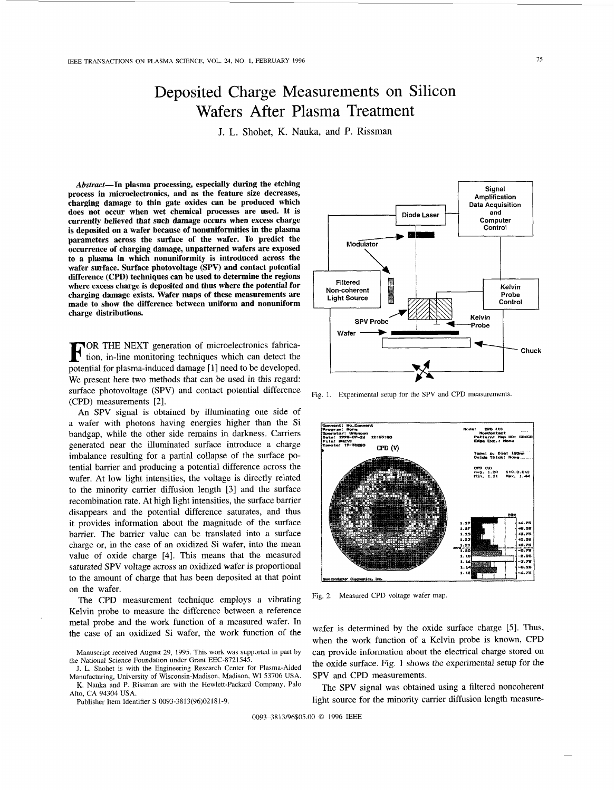## Deposited Charge Measurements on Silicon Wafers After Plasma Treatment

J. L. Shohet, K. Nauka, and P. Rissman

Abstract-In plasma processing, especially during the etching process in microelectronics, and as the feature size decreases, charging damage to thin gate oxides can be produced which does not occur when wet chemical processes are used. It is currently believed that such damage occurs when excess charge **is** deposited on a wafer because of nonuniformities in the plasma parameters across the surface of the wafer. To predict the occurrence of charging damage, unpatterned wafers are exposed to a plasma in which nonuniformity is introduced across the wafer surface. Surface photovoltage (SPV) and contact potential difference (CPD) techniques can be used to determine the regions where excess charge is deposited and thus where the potential for charging damage exists. Wafer maps of these measurements are made to show the difference between uniform and nonuniform charge distributions.

OR THE NEXT generation of microelectronics fabrica- **F** tion, in-line monitoring techniques which can detect the potential for plasma-induced damage [ **11** need to be developed. We present here two methods that can be used in this regard: surface photovoltage (SPV) and contact potential difference (CPD) measurements *[2].* 

An SPV signal is obtained by illuminating one side of a wafer with photons having energies higher than the Si bandgap, while the other side remains in darkness. Carriers generated near the illuminated surface introduce a charge imbalance resulting for a partial collapse of the surface potential barrier and producing a potential difference across the wafer. At low light intensities, the voltage is directly related to the minority carrier diffusion length **[3]** and the surface recombination rate. At high light intensities, the surface barrier disappears and the potential difference saturates, and thus it provides information about the magnitude of the surface barrier. The barrier value can be translated into a surface charge or, in the case of an oxidized Si wafer, into the mean value of oxide charge [4]. This means that the measured saturated SPV voltage across an oxidized wafer is proportional to the amount of charge that has been deposited at that point on the wafer.

The CPD measurement technique employs a vibrating Kelvin probe to measure the difference between a reference metal probe and the work function of a measured wafer. In the case of an oxidized Si wafer, the work function of the

J. L. Shohet is with the Engineering Research Center for Plasma-Aided Manufacturing, University of Wisconsin-Madison, Madison, WI 53706 USA. K. Nauka and P. Rissman are with the Hewlett-Packard Company, Palo

Alto, CA 94304 USA. Publisher Item Identifier S 0093-3813(96)02181-9.

**COMPANY**<br> **AMPLIFICATION**<br>
Diode Laser<br>
Diode Laser<br> **AMPLIFICATION**<br>
and<br>
Diode Laser<br>
Computer<br>
Control **Data Acquisition Modulator**  Filtered Kelvin **Non-coherent**  Probe Control Kelvin **SPV Probe** Probe Wafer **I** Chuck

Fig. 1. Experimental setup for the SPV and CPD measurements.



Fig. 2. Measured CPD voltage wafer map

wafer is determined by the oxide surface charge *[5].* Thus, when the work function of a Kelvin probe is known, CPD can provide information about the electrical charge stored on the oxide surface. Fig. **1** shows the experimental setup for the SPV and CPD measurements.

The SPV signal was obtained using a filtered noncoherent light source for the minority carrier diffusion length measure-

0093-3813/96\$05.00 *0* 1996 IEEE

Manuscript received August 29, 1995. This work was supported in part by the National Science Foundation under Grant EEC-8721545.